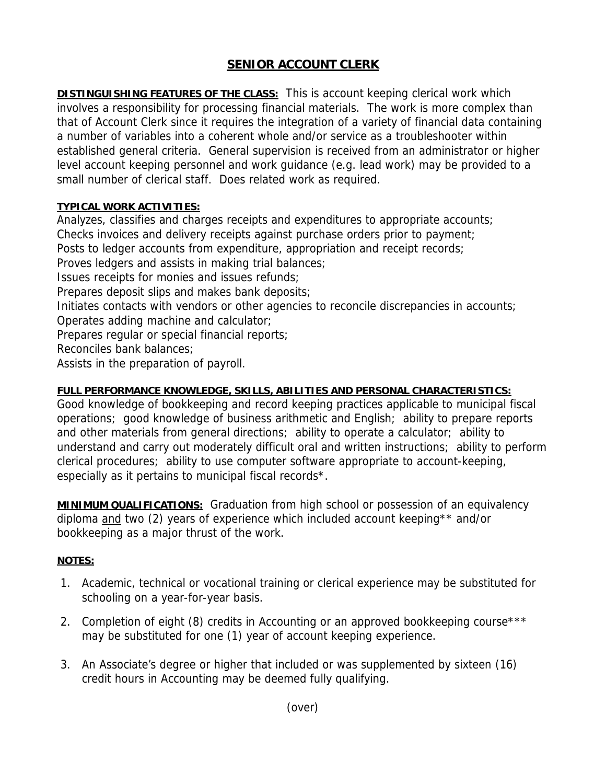## **SENIOR ACCOUNT CLERK**

**DISTINGUISHING FEATURES OF THE CLASS:** This is account keeping clerical work which involves a responsibility for processing financial materials. The work is more complex than that of Account Clerk since it requires the integration of a variety of financial data containing a number of variables into a coherent whole and/or service as a troubleshooter within established general criteria. General supervision is received from an administrator or higher level account keeping personnel and work guidance (e.g. lead work) may be provided to a small number of clerical staff. Does related work as required.

## **TYPICAL WORK ACTIVITIES:**

Analyzes, classifies and charges receipts and expenditures to appropriate accounts; Checks invoices and delivery receipts against purchase orders prior to payment; Posts to ledger accounts from expenditure, appropriation and receipt records; Proves ledgers and assists in making trial balances; Issues receipts for monies and issues refunds; Prepares deposit slips and makes bank deposits; Initiates contacts with vendors or other agencies to reconcile discrepancies in accounts; Operates adding machine and calculator; Prepares regular or special financial reports; Reconciles bank balances; Assists in the preparation of payroll.

## **FULL PERFORMANCE KNOWLEDGE, SKILLS, ABILITIES AND PERSONAL CHARACTERISTICS:**

Good knowledge of bookkeeping and record keeping practices applicable to municipal fiscal operations; good knowledge of business arithmetic and English; ability to prepare reports and other materials from general directions; ability to operate a calculator; ability to understand and carry out moderately difficult oral and written instructions; ability to perform clerical procedures; ability to use computer software appropriate to account-keeping, especially as it pertains to municipal fiscal records\*.

**MINIMUM QUALIFICATIONS:** Graduation from high school or possession of an equivalency diploma and two (2) years of experience which included account keeping\*\* and/or bookkeeping as a major thrust of the work.

## **NOTES:**

- 1. Academic, technical or vocational training or clerical experience may be substituted for schooling on a year-for-year basis.
- 2. Completion of eight (8) credits in Accounting or an approved bookkeeping course\*\*\* may be substituted for one (1) year of account keeping experience.
- 3. An Associate's degree or higher that included or was supplemented by sixteen (16) credit hours in Accounting may be deemed fully qualifying.